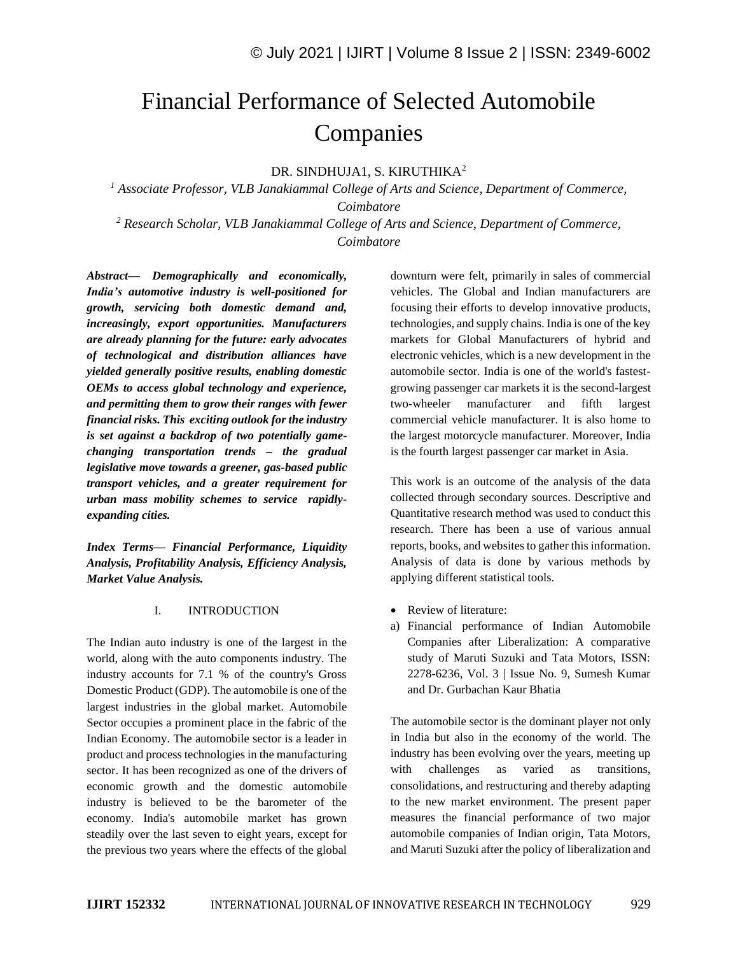# Financial Performance of Selected Automobile Companies

DR. SINDHUJA1, S. KIRUTHIKA<sup>2</sup>

*<sup>1</sup> Associate Professor, VLB Janakiammal College of Arts and Science, Department of Commerce, Coimbatore <sup>2</sup> Research Scholar, VLB Janakiammal College of Arts and Science, Department of Commerce,* 

*Coimbatore*

*Abstract— Demographically and economically, India's automotive industry is well-positioned for growth, servicing both domestic demand and, increasingly, export opportunities. Manufacturers are already planning for the future: early advocates of technological and distribution alliances have yielded generally positive results, enabling domestic OEMs to access global technology and experience, and permitting them to grow their ranges with fewer financial risks. This exciting outlook for the industry is set against a backdrop of two potentially gamechanging transportation trends – the gradual legislative move towards a greener, gas-based public transport vehicles, and a greater requirement for urban mass mobility schemes to service rapidlyexpanding cities.*

*Index Terms— Financial Performance, Liquidity Analysis, Profitability Analysis, Efficiency Analysis, Market Value Analysis.*

#### I. INTRODUCTION

The Indian auto industry is one of the largest in the world, along with the auto components industry. The industry accounts for 7.1 % of the country's Gross Domestic Product (GDP). The automobile is one of the largest industries in the global market. Automobile Sector occupies a prominent place in the fabric of the Indian Economy. The automobile sector is a leader in product and process technologies in the manufacturing sector. It has been recognized as one of the drivers of economic growth and the domestic automobile industry is believed to be the barometer of the economy. India's automobile market has grown steadily over the last seven to eight years, except for the previous two years where the effects of the global downturn were felt, primarily in sales of commercial vehicles. The Global and Indian manufacturers are focusing their efforts to develop innovative products, technologies, and supply chains. India is one of the key markets for Global Manufacturers of hybrid and electronic vehicles, which is a new development in the automobile sector. India is one of the world's fastestgrowing passenger car markets it is the second-largest two-wheeler manufacturer and fifth largest commercial vehicle manufacturer. It is also home to the largest motorcycle manufacturer. Moreover, India is the fourth largest passenger car market in Asia.

This work is an outcome of the analysis of the data collected through secondary sources. Descriptive and Quantitative research method was used to conduct this research. There has been a use of various annual reports, books, and websites to gather this information. Analysis of data is done by various methods by applying different statistical tools.

- Review of literature:
- a) Financial performance of Indian Automobile Companies after Liberalization: A comparative study of Maruti Suzuki and Tata Motors, ISSN: 2278-6236, Vol. 3 | Issue No. 9, Sumesh Kumar and Dr. Gurbachan Kaur Bhatia

The automobile sector is the dominant player not only in India but also in the economy of the world. The industry has been evolving over the years, meeting up with challenges as varied as transitions, consolidations, and restructuring and thereby adapting to the new market environment. The present paper measures the financial performance of two major automobile companies of Indian origin, Tata Motors, and Maruti Suzuki after the policy of liberalization and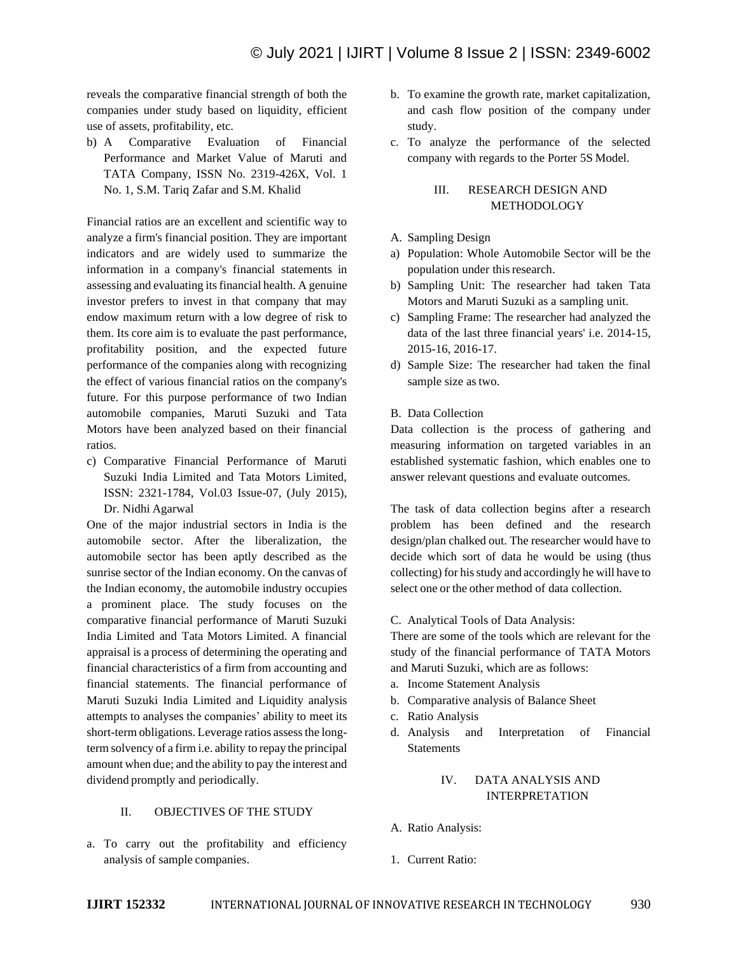reveals the comparative financial strength of both the companies under study based on liquidity, efficient use of assets, profitability, etc.

b) A Comparative Evaluation of Financial Performance and Market Value of Maruti and TATA Company, ISSN No. 2319-426X, Vol. 1 No. 1, S.M. Tariq Zafar and S.M. Khalid

Financial ratios are an excellent and scientific way to analyze a firm's financial position. They are important indicators and are widely used to summarize the information in a company's financial statements in assessing and evaluating itsfinancial health. A genuine investor prefers to invest in that company that may endow maximum return with a low degree of risk to them. Its core aim is to evaluate the past performance, profitability position, and the expected future performance of the companies along with recognizing the effect of various financial ratios on the company's future. For this purpose performance of two Indian automobile companies, Maruti Suzuki and Tata Motors have been analyzed based on their financial ratios.

c) Comparative Financial Performance of Maruti Suzuki India Limited and Tata Motors Limited, ISSN: 2321-1784, Vol.03 Issue-07, (July 2015), Dr. Nidhi Agarwal

One of the major industrial sectors in India is the automobile sector. After the liberalization, the automobile sector has been aptly described as the sunrise sector of the Indian economy. On the canvas of the Indian economy, the automobile industry occupies a prominent place. The study focuses on the comparative financial performance of Maruti Suzuki India Limited and Tata Motors Limited. A financial appraisal is a process of determining the operating and financial characteristics of a firm from accounting and financial statements. The financial performance of Maruti Suzuki India Limited and Liquidity analysis attempts to analyses the companies' ability to meet its short-term obligations. Leverage ratios assess the longterm solvency of a firm i.e. ability to repay the principal amount when due; and the ability to pay the interest and dividend promptly and periodically.

## II. OBJECTIVES OF THE STUDY

a. To carry out the profitability and efficiency analysis of sample companies.

- b. To examine the growth rate, market capitalization, and cash flow position of the company under study.
- c. To analyze the performance of the selected company with regards to the Porter 5S Model.

# III. RESEARCH DESIGN AND METHODOLOGY

- A. Sampling Design
- a) Population: Whole Automobile Sector will be the population under thisresearch.
- b) Sampling Unit: The researcher had taken Tata Motors and Maruti Suzuki as a sampling unit.
- c) Sampling Frame: The researcher had analyzed the data of the last three financial years' i.e. 2014-15, 2015-16, 2016-17.
- d) Sample Size: The researcher had taken the final sample size as two.
- B. Data Collection

Data collection is the process of gathering and measuring information on targeted variables in an established systematic fashion, which enables one to answer relevant questions and evaluate outcomes.

The task of data collection begins after a research problem has been defined and the research design/plan chalked out. The researcher would have to decide which sort of data he would be using (thus collecting) for hisstudy and accordingly he will have to select one or the other method of data collection.

C. Analytical Tools of Data Analysis:

There are some of the tools which are relevant for the study of the financial performance of TATA Motors and Maruti Suzuki, which are as follows:

- a. Income Statement Analysis
- b. Comparative analysis of Balance Sheet
- c. Ratio Analysis
- d. Analysis and Interpretation of Financial **Statements**

# IV. DATA ANALYSIS AND INTERPRETATION

- A. Ratio Analysis:
- 1. Current Ratio: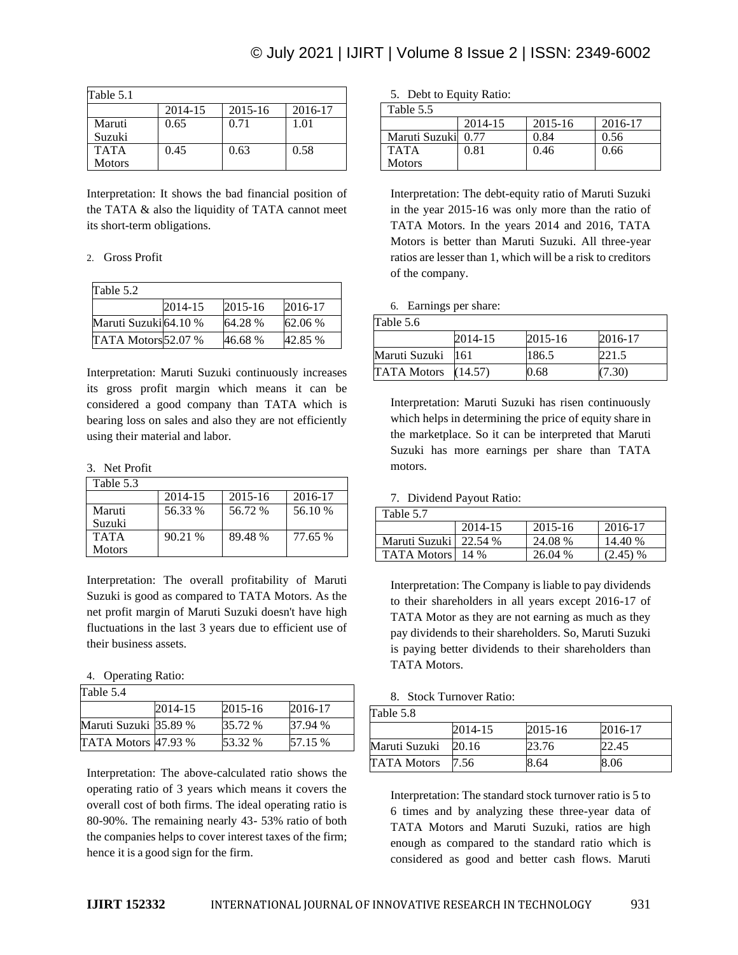| Table 5.1                    |         |         |         |
|------------------------------|---------|---------|---------|
|                              | 2014-15 | 2015-16 | 2016-17 |
| Maruti<br>Suzuki             | 0.65    | 0.71    | 1.01    |
| <b>TATA</b><br><b>Motors</b> | 0.45    | 0.63    | 0.58    |

Interpretation: It shows the bad financial position of the TATA & also the liquidity of TATA cannot meet its short-term obligations.

#### 2. Gross Profit

| Table 5.2             |         |             |         |
|-----------------------|---------|-------------|---------|
|                       | 2014-15 | $2015 - 16$ | 2016-17 |
| Maruti Suzuki 64.10 % |         | 64.28 %     | 62.06 % |
| TATA Motors 52.07 %   |         | 46.68%      | 42.85 % |

Interpretation: Maruti Suzuki continuously increases its gross profit margin which means it can be considered a good company than TATA which is bearing loss on sales and also they are not efficiently using their material and labor.

3. Net Profit

| Table 5.3     |         |             |         |
|---------------|---------|-------------|---------|
|               | 2014-15 | $2015 - 16$ | 2016-17 |
| Maruti        | 56.33 % | 56.72 %     | 56.10 % |
| Suzuki        |         |             |         |
| <b>TATA</b>   | 90.21 % | 89.48 %     | 77.65 % |
| <b>Motors</b> |         |             |         |

Interpretation: The overall profitability of Maruti Suzuki is good as compared to TATA Motors. As the net profit margin of Maruti Suzuki doesn't have high fluctuations in the last 3 years due to efficient use of their business assets.

|  | <b>Operating Ratio:</b> |  |
|--|-------------------------|--|
|--|-------------------------|--|

| Table 5.4             |         |         |         |
|-----------------------|---------|---------|---------|
|                       | 2014-15 | 2015-16 | 2016-17 |
| Maruti Suzuki 35.89 % |         | 35.72 % | 37.94 % |
| TATA Motors 47.93 %   |         | 53.32 % | 57.15 % |

Interpretation: The above-calculated ratio shows the operating ratio of 3 years which means it covers the overall cost of both firms. The ideal operating ratio is 80-90%. The remaining nearly 43- 53% ratio of both the companies helps to cover interest taxes of the firm; hence it is a good sign for the firm.

5. Debt to Equity Ratio:

| Table 5.5     |         |             |         |
|---------------|---------|-------------|---------|
|               | 2014-15 | $2015 - 16$ | 2016-17 |
| Maruti Suzuki | 0.77    | 0.84        | 0.56    |
| <b>TATA</b>   | 0.81    | 0.46        | 0.66    |
| <b>Motors</b> |         |             |         |

Interpretation: The debt-equity ratio of Maruti Suzuki in the year 2015-16 was only more than the ratio of TATA Motors. In the years 2014 and 2016, TATA Motors is better than Maruti Suzuki. All three-year ratios are lesser than 1, which will be a risk to creditors of the company.

6. Earnings per share:

| Table 5.6          |         |         |         |
|--------------------|---------|---------|---------|
|                    | 2014-15 | 2015-16 | 2016-17 |
| Maruti Suzuki      | 11.61   | 186.5   | 221.5   |
| <b>TATA Motors</b> | (14.57) | 0.68    | (7.30)  |

Interpretation: Maruti Suzuki has risen continuously which helps in determining the price of equity share in the marketplace. So it can be interpreted that Maruti Suzuki has more earnings per share than TATA motors.

7. Dividend Payout Ratio:

| Table 5.7               |         |             |            |
|-------------------------|---------|-------------|------------|
|                         | 2014-15 | $2015 - 16$ | 2016-17    |
| Maruti Suzuki   22.54 % |         | 24.08 %     | 14.40 %    |
| TATA Motors 14 %        |         | 26.04 %     | $(2.45)$ % |

Interpretation: The Company is liable to pay dividends to their shareholders in all years except 2016-17 of TATA Motor as they are not earning as much as they pay dividends to their shareholders. So, Maruti Suzuki is paying better dividends to their shareholders than TATA Motors.

8. Stock Turnover Ratio:

| Table 5.8          |         |         |         |
|--------------------|---------|---------|---------|
|                    | 2014-15 | 2015-16 | 2016-17 |
| Maruti Suzuki      | 20.16   | 23.76   | 22.45   |
| <b>TATA Motors</b> | 7.56    | 8.64    | 8.06    |

Interpretation: The standard stock turnover ratio is 5 to 6 times and by analyzing these three-year data of TATA Motors and Maruti Suzuki, ratios are high enough as compared to the standard ratio which is considered as good and better cash flows. Maruti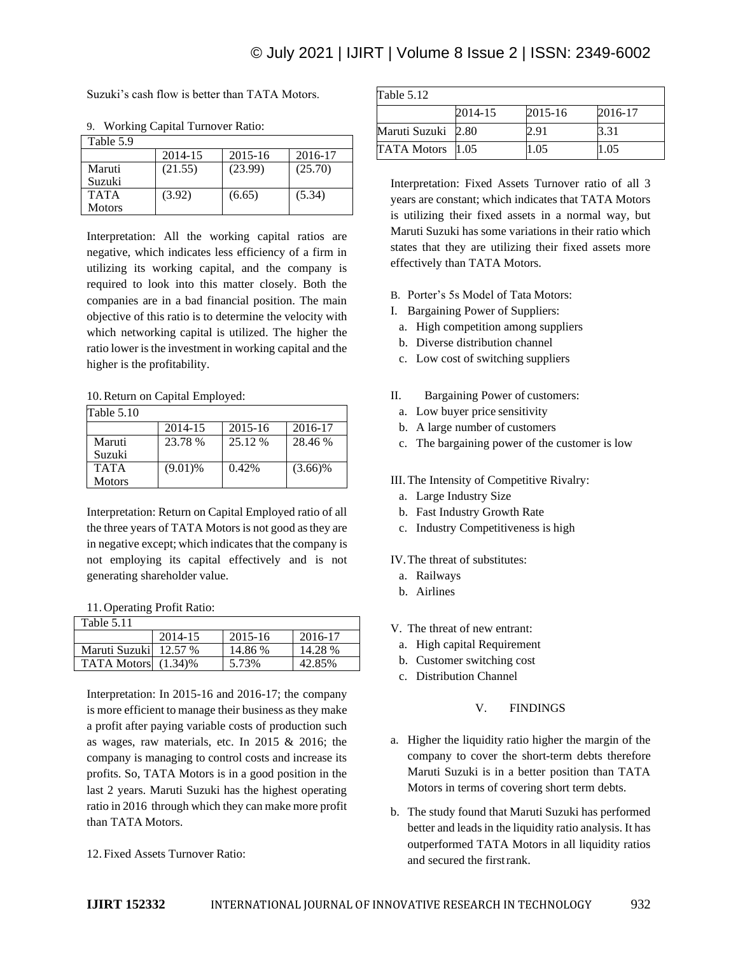Suzuki's cash flow is better than TATA Motors.

| Table 5.9     |         |         |         |
|---------------|---------|---------|---------|
|               | 2014-15 | 2015-16 | 2016-17 |
| Maruti        | (21.55) | (23.99) | (25.70) |
| Suzuki        |         |         |         |
| <b>TATA</b>   | (3.92)  | (6.65)  | (5.34)  |
| <b>Motors</b> |         |         |         |

9. Working Capital Turnover Ratio:

Interpretation: All the working capital ratios are negative, which indicates less efficiency of a firm in utilizing its working capital, and the company is required to look into this matter closely. Both the companies are in a bad financial position. The main objective of this ratio is to determine the velocity with which networking capital is utilized. The higher the ratio lower is the investment in working capital and the higher is the profitability.

10.Return on Capital Employed:

| Table $5.10$  |            |             |            |
|---------------|------------|-------------|------------|
|               | 2014-15    | $2015 - 16$ | 2016-17    |
| Maruti        | 23.78 %    | 25.12 %     | 28.46 %    |
| Suzuki        |            |             |            |
| <b>TATA</b>   | $(9.01)$ % | 0.42%       | $(3.66)\%$ |
| <b>Motors</b> |            |             |            |

Interpretation: Return on Capital Employed ratio of all the three years of TATA Motors is not good asthey are in negative except; which indicates that the company is not employing its capital effectively and is not generating shareholder value.

11. Operating Profit Ratio:

| Table 5.11             |         |             |         |
|------------------------|---------|-------------|---------|
|                        | 2014-15 | $2015 - 16$ | 2016-17 |
| Maruti Suzukil 12.57 % |         | 14.86 %     | 14.28 % |
| TATA Motors (1.34)%    |         | 5.73%       | 42.85%  |

Interpretation: In 2015-16 and 2016-17; the company is more efficient to manage their business as they make a profit after paying variable costs of production such as wages, raw materials, etc. In 2015 & 2016; the company is managing to control costs and increase its profits. So, TATA Motors is in a good position in the last 2 years. Maruti Suzuki has the highest operating ratio in 2016 through which they can make more profit than TATA Motors.

12. Fixed Assets Turnover Ratio:

| Table 5.12         |         |         |         |
|--------------------|---------|---------|---------|
|                    | 2014-15 | 2015-16 | 2016-17 |
| Maruti Suzuki 2.80 |         | 2.91    | 3.31    |
| <b>TATA Motors</b> | 1.05    | 1.05    | 1.05    |

Interpretation: Fixed Assets Turnover ratio of all 3 years are constant; which indicates that TATA Motors is utilizing their fixed assets in a normal way, but Maruti Suzuki has some variations in their ratio which states that they are utilizing their fixed assets more effectively than TATA Motors.

- B. Porter's 5s Model of Tata Motors:
- I. Bargaining Power of Suppliers:
- a. High competition among suppliers
- b. Diverse distribution channel
- c. Low cost of switching suppliers
- II. Bargaining Power of customers:
	- a. Low buyer price sensitivity
	- b. A large number of customers
	- c. The bargaining power of the customer is low

III. The Intensity of Competitive Rivalry:

- a. Large Industry Size
- b. Fast Industry Growth Rate
- c. Industry Competitiveness is high

IV.The threat of substitutes:

- a. Railways
- b. Airlines
- V. The threat of new entrant:
- a. High capital Requirement
- b. Customer switching cost
- c. Distribution Channel

## V. FINDINGS

- a. Higher the liquidity ratio higher the margin of the company to cover the short-term debts therefore Maruti Suzuki is in a better position than TATA Motors in terms of covering short term debts.
- b. The study found that Maruti Suzuki has performed better and leads in the liquidity ratio analysis. It has outperformed TATA Motors in all liquidity ratios and secured the firstrank.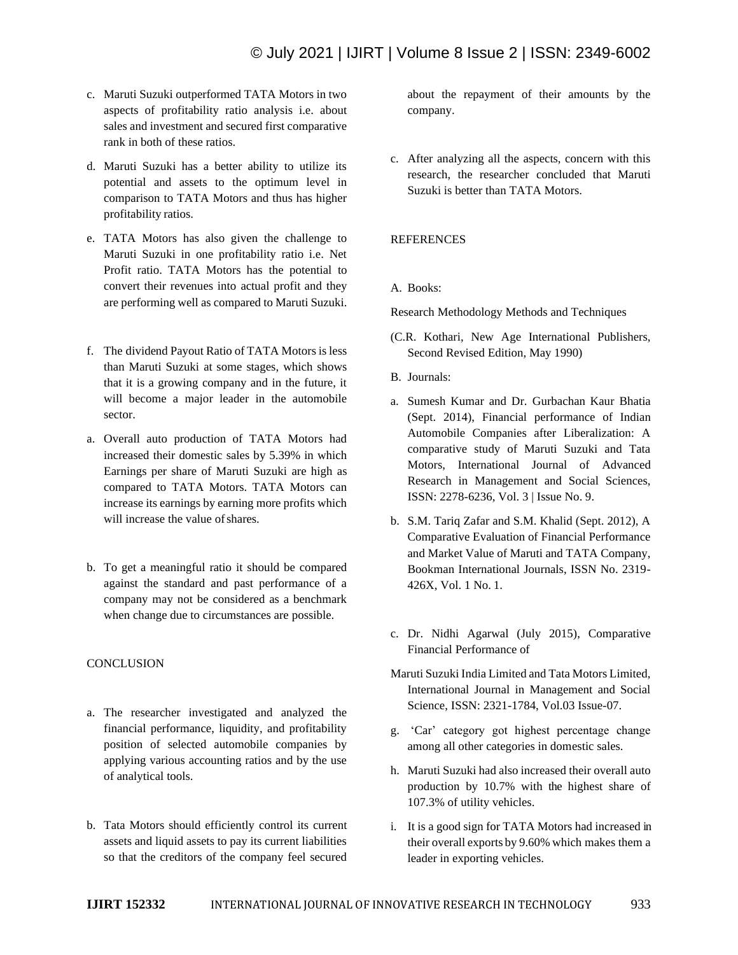- c. Maruti Suzuki outperformed TATA Motors in two aspects of profitability ratio analysis i.e. about sales and investment and secured first comparative rank in both of these ratios.
- d. Maruti Suzuki has a better ability to utilize its potential and assets to the optimum level in comparison to TATA Motors and thus has higher profitability ratios.
- e. TATA Motors has also given the challenge to Maruti Suzuki in one profitability ratio i.e. Net Profit ratio. TATA Motors has the potential to convert their revenues into actual profit and they are performing well as compared to Maruti Suzuki.
- f. The dividend Payout Ratio of TATA Motorsis less than Maruti Suzuki at some stages, which shows that it is a growing company and in the future, it will become a major leader in the automobile sector.
- a. Overall auto production of TATA Motors had increased their domestic sales by 5.39% in which Earnings per share of Maruti Suzuki are high as compared to TATA Motors. TATA Motors can increase its earnings by earning more profits which will increase the value of shares.
- b. To get a meaningful ratio it should be compared against the standard and past performance of a company may not be considered as a benchmark when change due to circumstances are possible.

## **CONCLUSION**

- a. The researcher investigated and analyzed the financial performance, liquidity, and profitability position of selected automobile companies by applying various accounting ratios and by the use of analytical tools.
- b. Tata Motors should efficiently control its current assets and liquid assets to pay its current liabilities so that the creditors of the company feel secured

about the repayment of their amounts by the company.

c. After analyzing all the aspects, concern with this research, the researcher concluded that Maruti Suzuki is better than TATA Motors.

# **REFERENCES**

#### A. Books:

Research Methodology Methods and Techniques

- (C.R. Kothari, New Age International Publishers, Second Revised Edition, May 1990)
- B. Journals:
- a. Sumesh Kumar and Dr. Gurbachan Kaur Bhatia (Sept. 2014), Financial performance of Indian Automobile Companies after Liberalization: A comparative study of Maruti Suzuki and Tata Motors, International Journal of Advanced Research in Management and Social Sciences, ISSN: 2278-6236, Vol. 3 | Issue No. 9.
- b. S.M. Tariq Zafar and S.M. Khalid (Sept. 2012), A Comparative Evaluation of Financial Performance and Market Value of Maruti and TATA Company, Bookman International Journals, ISSN No. 2319- 426X, Vol. 1 No. 1.
- c. Dr. Nidhi Agarwal (July 2015), Comparative Financial Performance of
- Maruti Suzuki India Limited and Tata Motors Limited, International Journal in Management and Social Science, ISSN: 2321-1784, Vol.03 Issue-07.
- g. 'Car' category got highest percentage change among all other categories in domestic sales.
- h. Maruti Suzuki had also increased their overall auto production by 10.7% with the highest share of 107.3% of utility vehicles.
- i. It is a good sign for TATA Motors had increased in their overall exports by 9.60% which makes them a leader in exporting vehicles.